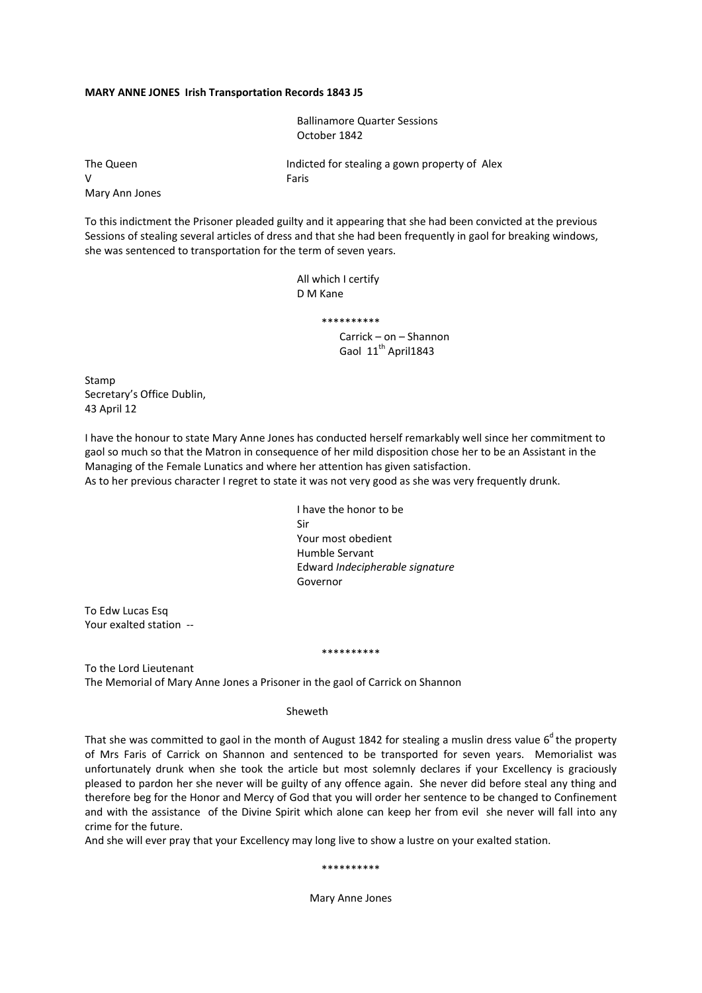## **MARY ANNE JONES Irish Transportation Records 1843 J5**

 Ballinamore Quarter Sessions October 1842

Mary Ann Jones

The Queen Indicted for stealing a gown property of Alex V Faris

To this indictment the Prisoner pleaded guilty and it appearing that she had been convicted at the previous Sessions of stealing several articles of dress and that she had been frequently in gaol for breaking windows, she was sentenced to transportation for the term of seven years.

> All which I certify D M Kane

> > \*\*\*\*\*\*\*\*\*\*

 Carrick – on – Shannon Gaol 11<sup>th</sup> April1843

Stamp Secretary's Office Dublin, 43 April 12

I have the honour to state Mary Anne Jones has conducted herself remarkably well since her commitment to gaol so much so that the Matron in consequence of her mild disposition chose her to be an Assistant in the Managing of the Female Lunatics and where her attention has given satisfaction. As to her previous character I regret to state it was not very good as she was very frequently drunk.

 I have the honor to be Sir Your most obedient Humble Servant Edward *Indecipherable signature* Governor

To Edw Lucas Esq Your exalted station ‐‐

#### \*\*\*\*\*\*\*\*\*\*

To the Lord Lieutenant The Memorial of Mary Anne Jones a Prisoner in the gaol of Carrick on Shannon

## Sheweth

That she was committed to gaol in the month of August 1842 for stealing a muslin dress value  $6<sup>d</sup>$  the property of Mrs Faris of Carrick on Shannon and sentenced to be transported for seven years. Memorialist was unfortunately drunk when she took the article but most solemnly declares if your Excellency is graciously pleased to pardon her she never will be guilty of any offence again. She never did before steal any thing and therefore beg for the Honor and Mercy of God that you will order her sentence to be changed to Confinement and with the assistance of the Divine Spirit which alone can keep her from evil she never will fall into any crime for the future.

And she will ever pray that your Excellency may long live to show a lustre on your exalted station.

#### \*\*\*\*\*\*\*\*\*\*

Mary Anne Jones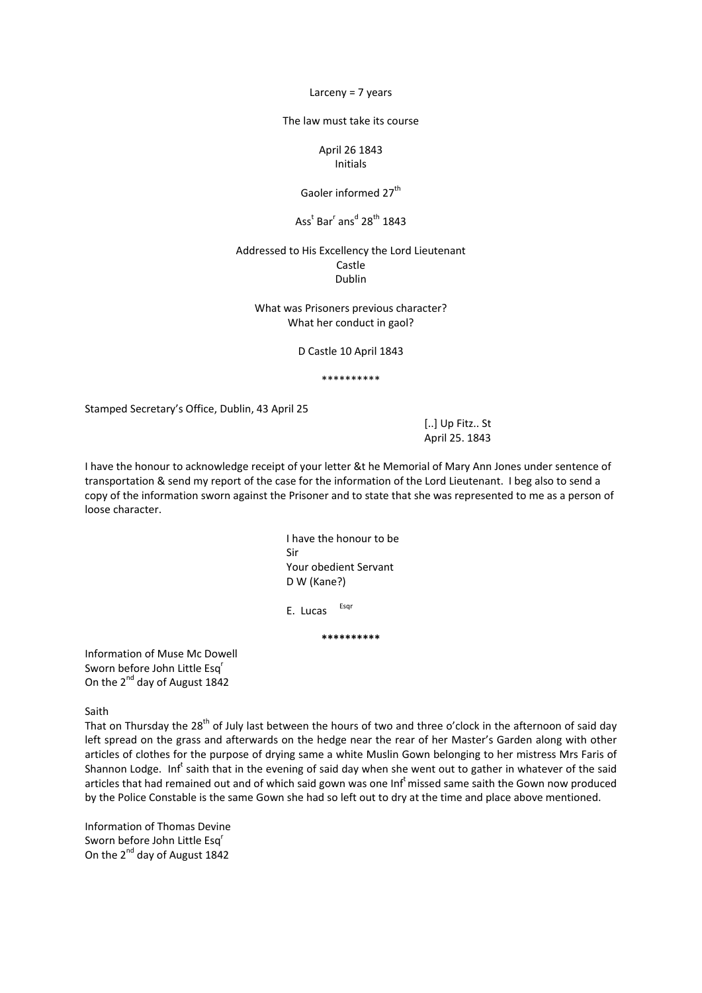Larceny = 7 years

The law must take its course

April 26 1843 Initials

Gaoler informed 27<sup>th</sup>

# $\textsf{Ass}^{\textsf{t}}$  Bar<sup>r</sup> ans<sup>d</sup> 28<sup>th</sup> 1843

# Addressed to His Excellency the Lord Lieutenant Castle Dublin

What was Prisoners previous character? What her conduct in gaol?

D Castle 10 April 1843

\*\*\*\*\*\*\*\*\*\*

Stamped Secretary's Office, Dublin, 43 April 25

 [..] Up Fitz.. St April 25. 1843

I have the honour to acknowledge receipt of your letter &t he Memorial of Mary Ann Jones under sentence of transportation & send my report of the case for the information of the Lord Lieutenant. I beg also to send a copy of the information sworn against the Prisoner and to state that she was represented to me as a person of loose character.

> I have the honour to be Sir Your obedient Servant D W (Kane?)

E. Lucas Esqr

**\*\*\*\*\*\*\*\*\*\***

Information of Muse Mc Dowell Sworn before John Little Esq<sup>r</sup> On the 2<sup>nd</sup> day of August 1842

Saith

That on Thursday the 28<sup>th</sup> of July last between the hours of two and three o'clock in the afternoon of said day left spread on the grass and afterwards on the hedge near the rear of her Master's Garden along with other articles of clothes for the purpose of drying same a white Muslin Gown belonging to her mistress Mrs Faris of Shannon Lodge. Inf<sup>t</sup> saith that in the evening of said day when she went out to gather in whatever of the said articles that had remained out and of which said gown was one Inf<sup>t</sup> missed same saith the Gown now produced by the Police Constable is the same Gown she had so left out to dry at the time and place above mentioned.

Information of Thomas Devine Sworn before John Little Esq<sup>r</sup> On the 2<sup>nd</sup> day of August 1842